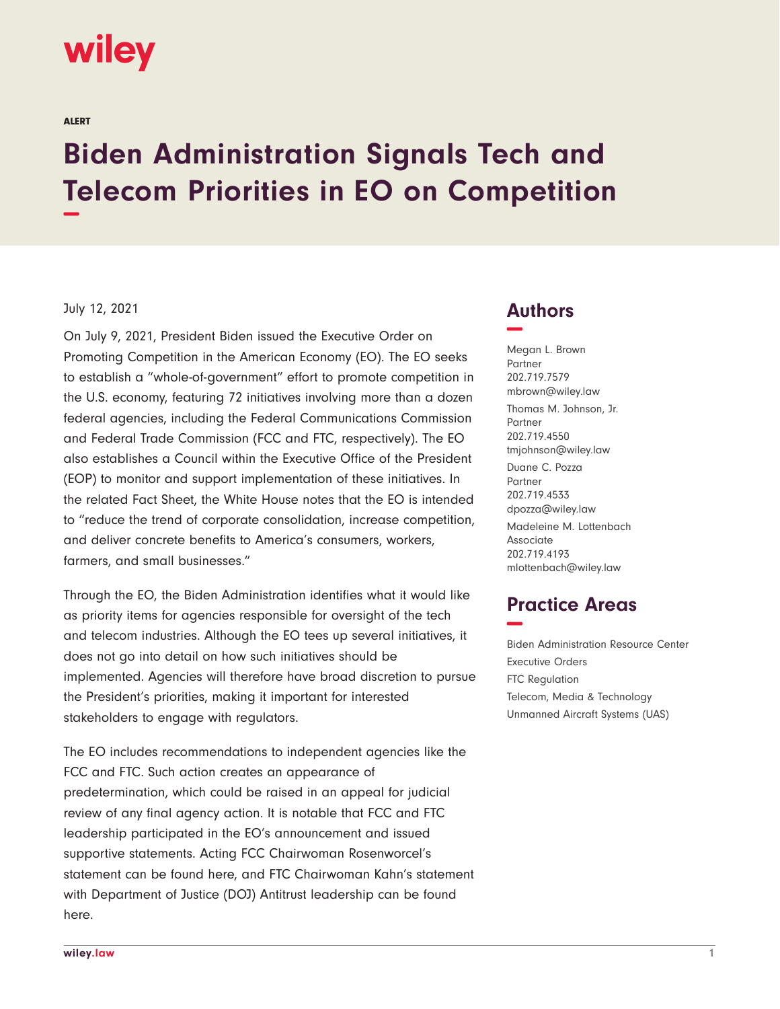# **wiley**

ALERT

# **Biden Administration Signals Tech and Telecom Priorities in EO on Competition −**

#### July 12, 2021

On July 9, 2021, President Biden issued the Executive Order on Promoting Competition in the American Economy (EO). The EO seeks to establish a "whole-of-government" effort to promote competition in the U.S. economy, featuring 72 initiatives involving more than a dozen federal agencies, including the Federal Communications Commission and Federal Trade Commission (FCC and FTC, respectively). The EO also establishes a Council within the Executive Office of the President (EOP) to monitor and support implementation of these initiatives. In the related Fact Sheet, the White House notes that the EO is intended to "reduce the trend of corporate consolidation, increase competition, and deliver concrete benefits to America's consumers, workers, farmers, and small businesses."

Through the EO, the Biden Administration identifies what it would like as priority items for agencies responsible for oversight of the tech and telecom industries. Although the EO tees up several initiatives, it does not go into detail on how such initiatives should be implemented. Agencies will therefore have broad discretion to pursue the President's priorities, making it important for interested stakeholders to engage with regulators.

The EO includes recommendations to independent agencies like the FCC and FTC. Such action creates an appearance of predetermination, which could be raised in an appeal for judicial review of any final agency action. It is notable that FCC and FTC leadership participated in the EO's announcement and issued supportive statements. Acting FCC Chairwoman Rosenworcel's statement can be found here, and FTC Chairwoman Kahn's statement with Department of Justice (DOJ) Antitrust leadership can be found here.

### **Authors −**

Megan L. Brown Partner 202.719.7579 mbrown@wiley.law Thomas M. Johnson, Jr. Partner 202.719.4550 tmjohnson@wiley.law Duane C. Pozza Partner 202.719.4533 dpozza@wiley.law Madeleine M. Lottenbach Associate 202.719.4193 mlottenbach@wiley.law

## **Practice Areas −**

Biden Administration Resource Center Executive Orders FTC Regulation Telecom, Media & Technology Unmanned Aircraft Systems (UAS)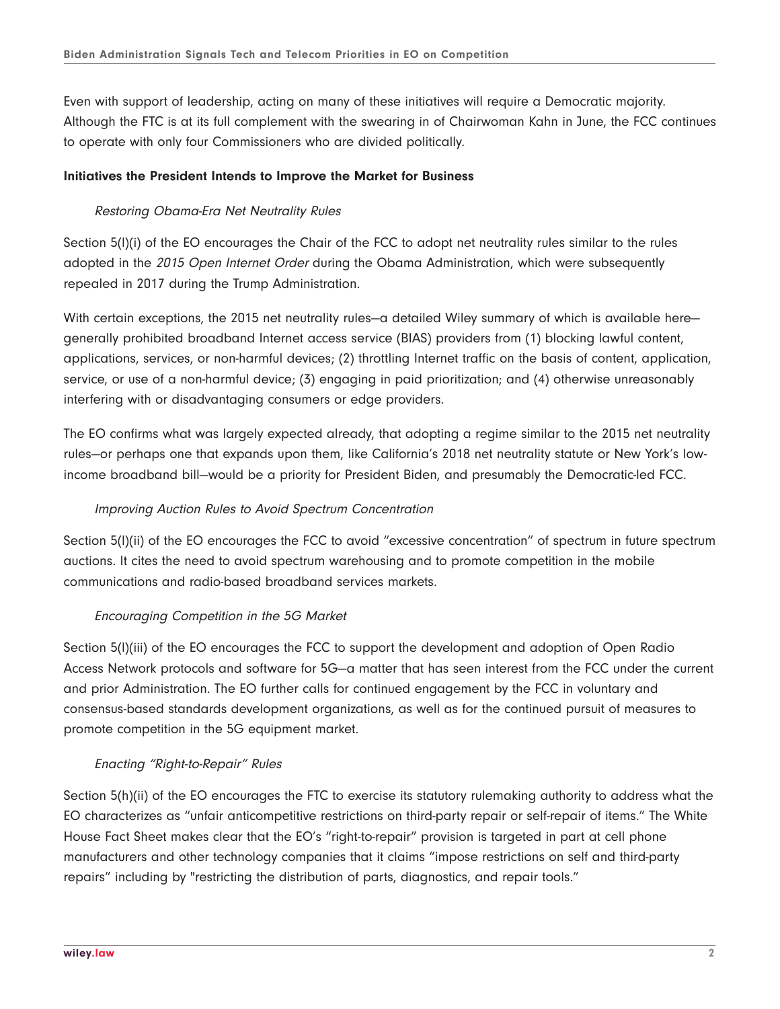Even with support of leadership, acting on many of these initiatives will require a Democratic majority. Although the FTC is at its full complement with the swearing in of Chairwoman Kahn in June, the FCC continues to operate with only four Commissioners who are divided politically.

#### **Initiatives the President Intends to Improve the Market for Business**

#### Restoring Obama-Era Net Neutrality Rules

Section 5(l)(i) of the EO encourages the Chair of the FCC to adopt net neutrality rules similar to the rules adopted in the 2015 Open Internet Order during the Obama Administration, which were subsequently repealed in 2017 during the Trump Administration.

With certain exceptions, the 2015 net neutrality rules—a detailed Wiley summary of which is available here generally prohibited broadband Internet access service (BIAS) providers from (1) blocking lawful content, applications, services, or non-harmful devices; (2) throttling Internet traffic on the basis of content, application, service, or use of a non-harmful device; (3) engaging in paid prioritization; and (4) otherwise unreasonably interfering with or disadvantaging consumers or edge providers.

The EO confirms what was largely expected already, that adopting a regime similar to the 2015 net neutrality rules—or perhaps one that expands upon them, like California's 2018 net neutrality statute or New York's lowincome broadband bill—would be a priority for President Biden, and presumably the Democratic-led FCC.

#### Improving Auction Rules to Avoid Spectrum Concentration

Section 5(l)(ii) of the EO encourages the FCC to avoid "excessive concentration" of spectrum in future spectrum auctions. It cites the need to avoid spectrum warehousing and to promote competition in the mobile communications and radio-based broadband services markets.

#### Encouraging Competition in the 5G Market

Section 5(l)(iii) of the EO encourages the FCC to support the development and adoption of Open Radio Access Network protocols and software for 5G—a matter that has seen interest from the FCC under the current and prior Administration. The EO further calls for continued engagement by the FCC in voluntary and consensus-based standards development organizations, as well as for the continued pursuit of measures to promote competition in the 5G equipment market.

#### Enacting "Right-to-Repair" Rules

Section 5(h)(ii) of the EO encourages the FTC to exercise its statutory rulemaking authority to address what the EO characterizes as "unfair anticompetitive restrictions on third-party repair or self-repair of items." The White House Fact Sheet makes clear that the EO's "right-to-repair" provision is targeted in part at cell phone manufacturers and other technology companies that it claims "impose restrictions on self and third-party repairs" including by "restricting the distribution of parts, diagnostics, and repair tools."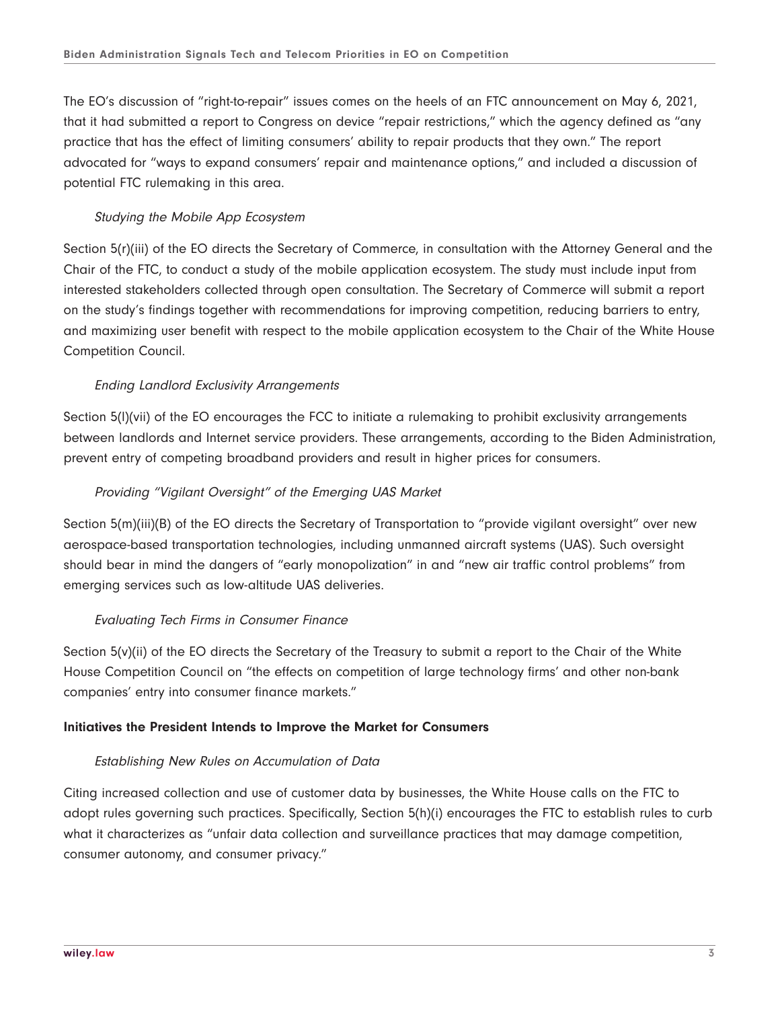The EO's discussion of "right-to-repair" issues comes on the heels of an FTC announcement on May 6, 2021, that it had submitted a report to Congress on device "repair restrictions," which the agency defined as "any practice that has the effect of limiting consumers' ability to repair products that they own." The report advocated for "ways to expand consumers' repair and maintenance options," and included a discussion of potential FTC rulemaking in this area.

#### Studying the Mobile App Ecosystem

Section 5(r)(iii) of the EO directs the Secretary of Commerce, in consultation with the Attorney General and the Chair of the FTC, to conduct a study of the mobile application ecosystem. The study must include input from interested stakeholders collected through open consultation. The Secretary of Commerce will submit a report on the study's findings together with recommendations for improving competition, reducing barriers to entry, and maximizing user benefit with respect to the mobile application ecosystem to the Chair of the White House Competition Council.

#### Ending Landlord Exclusivity Arrangements

Section 5(l)(vii) of the EO encourages the FCC to initiate a rulemaking to prohibit exclusivity arrangements between landlords and Internet service providers. These arrangements, according to the Biden Administration, prevent entry of competing broadband providers and result in higher prices for consumers.

#### Providing "Vigilant Oversight" of the Emerging UAS Market

Section 5(m)(iii)(B) of the EO directs the Secretary of Transportation to "provide vigilant oversight" over new aerospace-based transportation technologies, including unmanned aircraft systems (UAS). Such oversight should bear in mind the dangers of "early monopolization" in and "new air traffic control problems" from emerging services such as low-altitude UAS deliveries.

#### Evaluating Tech Firms in Consumer Finance

Section 5(v)(ii) of the EO directs the Secretary of the Treasury to submit a report to the Chair of the White House Competition Council on "the effects on competition of large technology firms' and other non-bank companies' entry into consumer finance markets."

#### **Initiatives the President Intends to Improve the Market for Consumers**

#### Establishing New Rules on Accumulation of Data

Citing increased collection and use of customer data by businesses, the White House calls on the FTC to adopt rules governing such practices. Specifically, Section 5(h)(i) encourages the FTC to establish rules to curb what it characterizes as "unfair data collection and surveillance practices that may damage competition, consumer autonomy, and consumer privacy."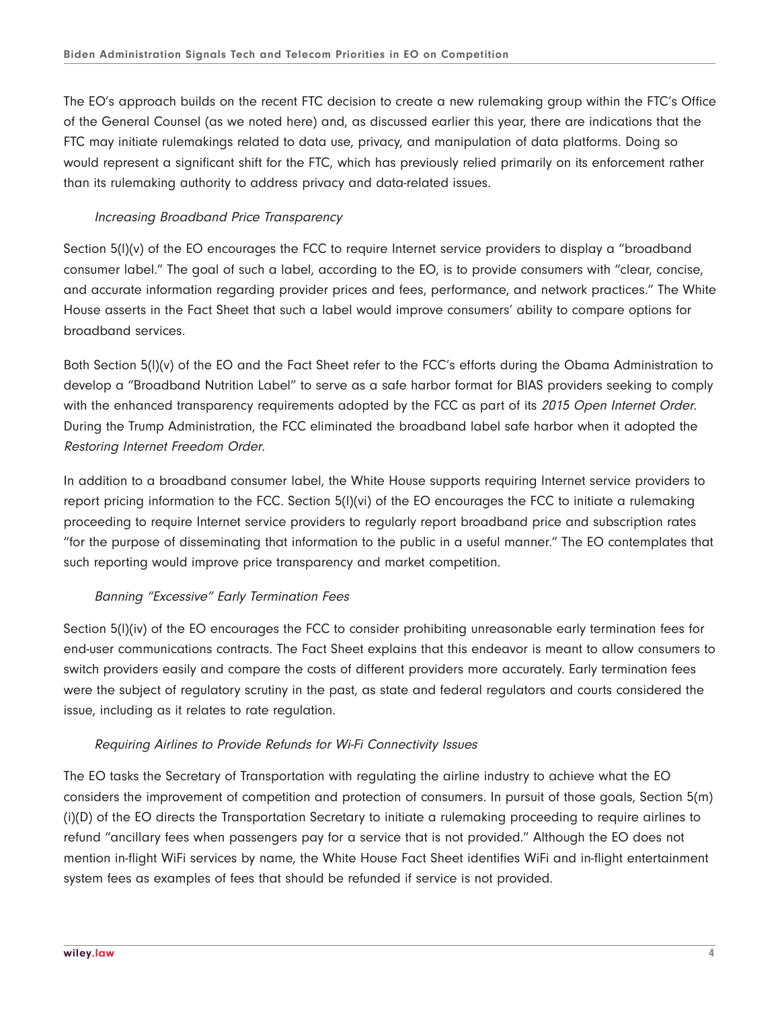The EO's approach builds on the recent FTC decision to create a new rulemaking group within the FTC's Office of the General Counsel (as we noted here) and, as discussed earlier this year, there are indications that the FTC may initiate rulemakings related to data use, privacy, and manipulation of data platforms. Doing so would represent a significant shift for the FTC, which has previously relied primarily on its enforcement rather than its rulemaking authority to address privacy and data-related issues.

#### Increasing Broadband Price Transparency

Section 5(l)(v) of the EO encourages the FCC to require Internet service providers to display a "broadband consumer label." The goal of such a label, according to the EO, is to provide consumers with "clear, concise, and accurate information regarding provider prices and fees, performance, and network practices." The White House asserts in the Fact Sheet that such a label would improve consumers' ability to compare options for broadband services.

Both Section 5(l)(v) of the EO and the Fact Sheet refer to the FCC's efforts during the Obama Administration to develop a "Broadband Nutrition Label" to serve as a safe harbor format for BIAS providers seeking to comply with the enhanced transparency requirements adopted by the FCC as part of its 2015 Open Internet Order. During the Trump Administration, the FCC eliminated the broadband label safe harbor when it adopted the Restoring Internet Freedom Order.

In addition to a broadband consumer label, the White House supports requiring Internet service providers to report pricing information to the FCC. Section 5(l)(vi) of the EO encourages the FCC to initiate a rulemaking proceeding to require Internet service providers to regularly report broadband price and subscription rates "for the purpose of disseminating that information to the public in a useful manner." The EO contemplates that such reporting would improve price transparency and market competition.

#### Banning "Excessive" Early Termination Fees

Section 5(l)(iv) of the EO encourages the FCC to consider prohibiting unreasonable early termination fees for end-user communications contracts. The Fact Sheet explains that this endeavor is meant to allow consumers to switch providers easily and compare the costs of different providers more accurately. Early termination fees were the subject of regulatory scrutiny in the past, as state and federal regulators and courts considered the issue, including as it relates to rate regulation.

#### Requiring Airlines to Provide Refunds for Wi-Fi Connectivity Issues

The EO tasks the Secretary of Transportation with regulating the airline industry to achieve what the EO considers the improvement of competition and protection of consumers. In pursuit of those goals, Section 5(m) (i)(D) of the EO directs the Transportation Secretary to initiate a rulemaking proceeding to require airlines to refund "ancillary fees when passengers pay for a service that is not provided." Although the EO does not mention in-flight WiFi services by name, the White House Fact Sheet identifies WiFi and in-flight entertainment system fees as examples of fees that should be refunded if service is not provided.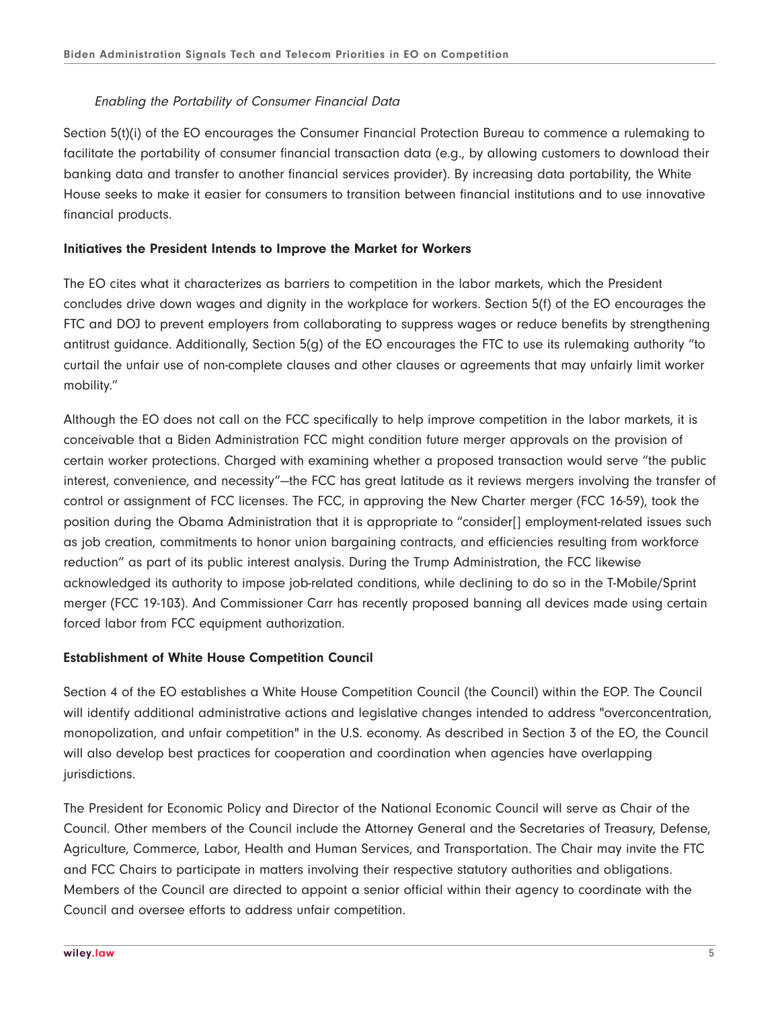#### Enabling the Portability of Consumer Financial Data

Section 5(t)(i) of the EO encourages the Consumer Financial Protection Bureau to commence a rulemaking to facilitate the portability of consumer financial transaction data (e.g., by allowing customers to download their banking data and transfer to another financial services provider). By increasing data portability, the White House seeks to make it easier for consumers to transition between financial institutions and to use innovative financial products.

#### **Initiatives the President Intends to Improve the Market for Workers**

The EO cites what it characterizes as barriers to competition in the labor markets, which the President concludes drive down wages and dignity in the workplace for workers. Section 5(f) of the EO encourages the FTC and DOJ to prevent employers from collaborating to suppress wages or reduce benefits by strengthening antitrust guidance. Additionally, Section 5(g) of the EO encourages the FTC to use its rulemaking authority "to curtail the unfair use of non-complete clauses and other clauses or agreements that may unfairly limit worker mobility."

Although the EO does not call on the FCC specifically to help improve competition in the labor markets, it is conceivable that a Biden Administration FCC might condition future merger approvals on the provision of certain worker protections. Charged with examining whether a proposed transaction would serve "the public interest, convenience, and necessity"—the FCC has great latitude as it reviews mergers involving the transfer of control or assignment of FCC licenses. The FCC, in approving the New Charter merger (FCC 16-59), took the position during the Obama Administration that it is appropriate to "consider[] employment-related issues such as job creation, commitments to honor union bargaining contracts, and efficiencies resulting from workforce reduction" as part of its public interest analysis. During the Trump Administration, the FCC likewise acknowledged its authority to impose job-related conditions, while declining to do so in the T-Mobile/Sprint merger (FCC 19-103). And Commissioner Carr has recently proposed banning all devices made using certain forced labor from FCC equipment authorization.

#### **Establishment of White House Competition Council**

Section 4 of the EO establishes a White House Competition Council (the Council) within the EOP. The Council will identify additional administrative actions and legislative changes intended to address "overconcentration, monopolization, and unfair competition" in the U.S. economy. As described in Section 3 of the EO, the Council will also develop best practices for cooperation and coordination when agencies have overlapping jurisdictions.

The President for Economic Policy and Director of the National Economic Council will serve as Chair of the Council. Other members of the Council include the Attorney General and the Secretaries of Treasury, Defense, Agriculture, Commerce, Labor, Health and Human Services, and Transportation. The Chair may invite the FTC and FCC Chairs to participate in matters involving their respective statutory authorities and obligations. Members of the Council are directed to appoint a senior official within their agency to coordinate with the Council and oversee efforts to address unfair competition.